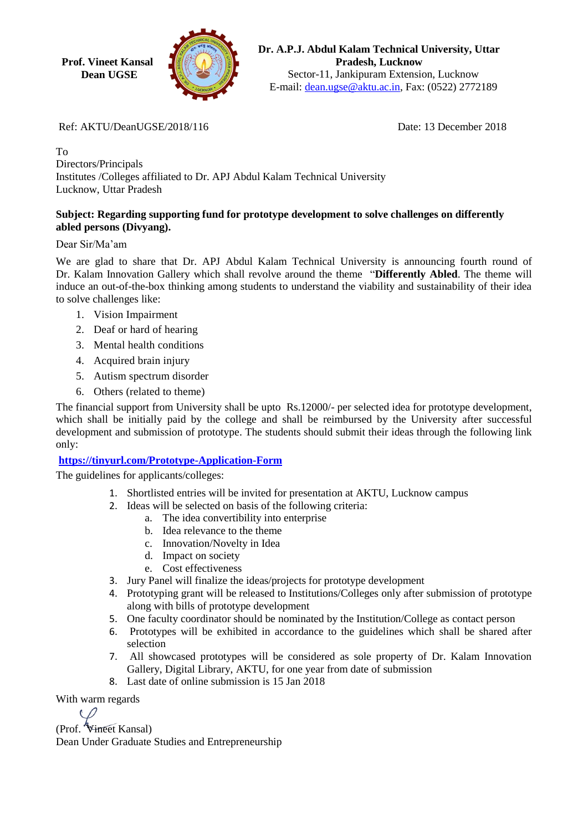**Prof. Vineet Kansal Dean UGSE**



**Dr. A.P.J. Abdul Kalam Technical University, Uttar Pradesh, Lucknow** Sector-11, Jankipuram Extension, Lucknow E-mail: [dean.ugse@aktu.ac.in,](mailto:dean.ugse@aktu.ac.in) Fax: (0522) 2772189

Ref: AKTU/DeanUGSE/2018/116 Date: 13 December 2018

To Directors/Principals Institutes /Colleges affiliated to Dr. APJ Abdul Kalam Technical University Lucknow, Uttar Pradesh

## **Subject: Regarding supporting fund for prototype development to solve challenges on differently abled persons (Divyang).**

Dear Sir/Ma'am

We are glad to share that Dr. APJ Abdul Kalam Technical University is announcing fourth round of Dr. Kalam Innovation Gallery which shall revolve around the theme "**Differently Abled**. The theme will induce an out-of-the-box thinking among students to understand the viability and sustainability of their idea to solve challenges like:

- 1. Vision Impairment
- 2. Deaf or hard of hearing
- 3. Mental health conditions
- 4. Acquired brain injury
- 5. Autism spectrum disorder
- 6. Others (related to theme)

The financial support from University shall be upto Rs.12000/- per selected idea for prototype development, which shall be initially paid by the college and shall be reimbursed by the University after successful development and submission of prototype. The students should submit their ideas through the following link only:

## **<https://tinyurl.com/Prototype-Application-Form>**

The guidelines for applicants/colleges:

- 1. Shortlisted entries will be invited for presentation at AKTU, Lucknow campus
- 2. Ideas will be selected on basis of the following criteria:
	- a. The idea convertibility into enterprise
	- b. Idea relevance to the theme
	- c. Innovation/Novelty in Idea
	- d. Impact on society
	- e. Cost effectiveness
- 3. Jury Panel will finalize the ideas/projects for prototype development
- 4. Prototyping grant will be released to Institutions/Colleges only after submission of prototype along with bills of prototype development
- 5. One faculty coordinator should be nominated by the Institution/College as contact person
- 6. Prototypes will be exhibited in accordance to the guidelines which shall be shared after selection
- 7. All showcased prototypes will be considered as sole property of Dr. Kalam Innovation Gallery, Digital Library, AKTU, for one year from date of submission
- 8. Last date of online submission is 15 Jan 2018

With warm regards

(Prof. Vineet Kansal)

Dean Under Graduate Studies and Entrepreneurship